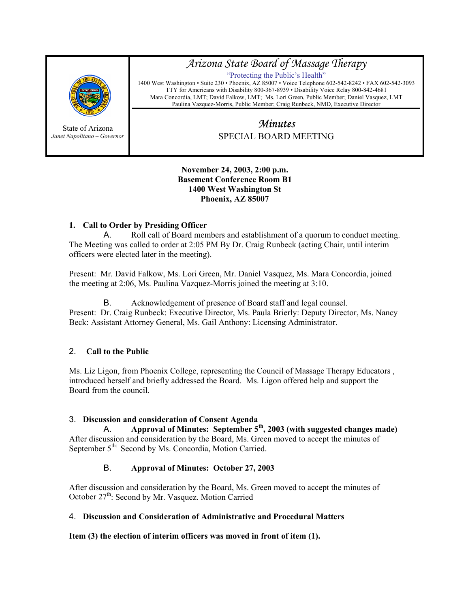

State of Arizona *Janet Napolitano – Governor*

# *Arizona State Board of Massage Therapy*

"Protecting the Public's Health" 1400 West Washington • Suite 230 • Phoenix, AZ 85007 • Voice Telephone 602-542-8242 • FAX 602-542-3093 TTY for Americans with Disability 800-367-8939 • Disability Voice Relay 800-842-4681 Mara Concordia, LMT; David Falkow, LMT; Ms. Lori Green, Public Member; Daniel Vasquez, LMT Paulina Vazquez-Morris, Public Member; Craig Runbeck, NMD, Executive Director

# *Minutes*  SPECIAL BOARD MEETING

#### **November 24, 2003, 2:00 p.m. Basement Conference Room B1 1400 West Washington St Phoenix, AZ 85007**

# **1. Call to Order by Presiding Officer**

A. Roll call of Board members and establishment of a quorum to conduct meeting. The Meeting was called to order at 2:05 PM By Dr. Craig Runbeck (acting Chair, until interim officers were elected later in the meeting).

Present: Mr. David Falkow, Ms. Lori Green, Mr. Daniel Vasquez, Ms. Mara Concordia, joined the meeting at 2:06, Ms. Paulina Vazquez-Morris joined the meeting at 3:10.

B. Acknowledgement of presence of Board staff and legal counsel. Present: Dr. Craig Runbeck: Executive Director, Ms. Paula Brierly: Deputy Director, Ms. Nancy Beck: Assistant Attorney General, Ms. Gail Anthony: Licensing Administrator.

# 2. **Call to the Public**

Ms. Liz Ligon, from Phoenix College, representing the Council of Massage Therapy Educators , introduced herself and briefly addressed the Board. Ms. Ligon offered help and support the Board from the council.

## 3. **Discussion and consideration of Consent Agenda**

Approval of Minutes: September 5<sup>th</sup>, 2003 (with suggested changes made) After discussion and consideration by the Board, Ms. Green moved to accept the minutes of September 5<sup>th:</sup> Second by Ms. Concordia, Motion Carried.

# B. **Approval of Minutes: October 27, 2003**

After discussion and consideration by the Board, Ms. Green moved to accept the minutes of October 27<sup>th</sup>: Second by Mr. Vasquez. Motion Carried

# 4. **Discussion and Consideration of Administrative and Procedural Matters**

**Item (3) the election of interim officers was moved in front of item (1).**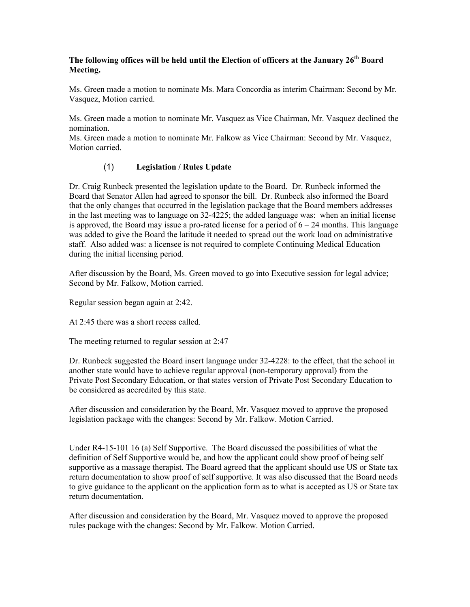## **The following offices will be held until the Election of officers at the January 26th Board Meeting.**

Ms. Green made a motion to nominate Ms. Mara Concordia as interim Chairman: Second by Mr. Vasquez, Motion carried.

Ms. Green made a motion to nominate Mr. Vasquez as Vice Chairman, Mr. Vasquez declined the nomination.

Ms. Green made a motion to nominate Mr. Falkow as Vice Chairman: Second by Mr. Vasquez, Motion carried.

## (1) **Legislation / Rules Update**

Dr. Craig Runbeck presented the legislation update to the Board. Dr. Runbeck informed the Board that Senator Allen had agreed to sponsor the bill. Dr. Runbeck also informed the Board that the only changes that occurred in the legislation package that the Board members addresses in the last meeting was to language on 32-4225; the added language was: when an initial license is approved, the Board may issue a pro-rated license for a period of  $6 - 24$  months. This language was added to give the Board the latitude it needed to spread out the work load on administrative staff. Also added was: a licensee is not required to complete Continuing Medical Education during the initial licensing period.

After discussion by the Board, Ms. Green moved to go into Executive session for legal advice; Second by Mr. Falkow, Motion carried.

Regular session began again at 2:42.

At 2:45 there was a short recess called.

The meeting returned to regular session at 2:47

Dr. Runbeck suggested the Board insert language under 32-4228: to the effect, that the school in another state would have to achieve regular approval (non-temporary approval) from the Private Post Secondary Education, or that states version of Private Post Secondary Education to be considered as accredited by this state.

After discussion and consideration by the Board, Mr. Vasquez moved to approve the proposed legislation package with the changes: Second by Mr. Falkow. Motion Carried.

Under R4-15-101 16 (a) Self Supportive. The Board discussed the possibilities of what the definition of Self Supportive would be, and how the applicant could show proof of being self supportive as a massage therapist. The Board agreed that the applicant should use US or State tax return documentation to show proof of self supportive. It was also discussed that the Board needs to give guidance to the applicant on the application form as to what is accepted as US or State tax return documentation.

After discussion and consideration by the Board, Mr. Vasquez moved to approve the proposed rules package with the changes: Second by Mr. Falkow. Motion Carried.